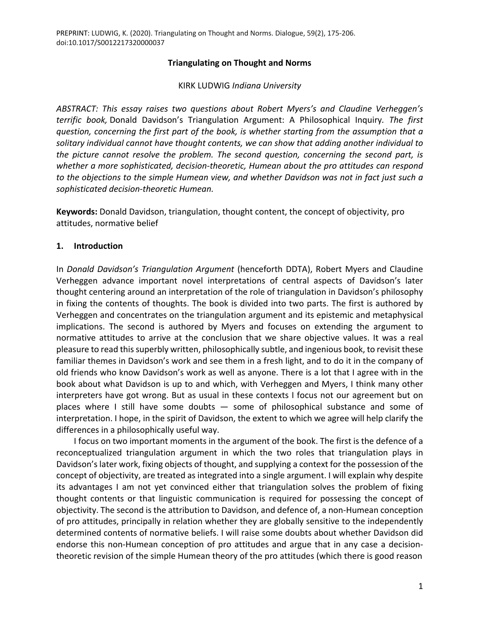## **Triangulating on Thought and Norms**

## KIRK LUDWIG *Indiana University*

*ABSTRACT: This essay raises two questions about Robert Myers's and Claudine Verheggen's terrific book,* Donald Davidson's Triangulation Argument: A Philosophical Inquiry*. The first question, concerning the first part of the book, is whether starting from the assumption that a solitary individual cannot have thought contents, we can show that adding another individual to the picture cannot resolve the problem. The second question, concerning the second part, is whether a more sophisticated, decision-theoretic, Humean about the pro attitudes can respond to the objections to the simple Humean view, and whether Davidson was not in fact just such a sophisticated decision-theoretic Humean.*

**Keywords:** Donald Davidson, triangulation, thought content, the concept of objectivity, pro attitudes, normative belief

#### **1. Introduction**

In *Donald Davidson's Triangulation Argument* (henceforth DDTA), Robert Myers and Claudine Verheggen advance important novel interpretations of central aspects of Davidson's later thought centering around an interpretation of the role of triangulation in Davidson's philosophy in fixing the contents of thoughts. The book is divided into two parts. The first is authored by Verheggen and concentrates on the triangulation argument and its epistemic and metaphysical implications. The second is authored by Myers and focuses on extending the argument to normative attitudes to arrive at the conclusion that we share objective values. It was a real pleasure to read this superbly written, philosophically subtle, and ingenious book, to revisit these familiar themes in Davidson's work and see them in a fresh light, and to do it in the company of old friends who know Davidson's work as well as anyone. There is a lot that I agree with in the book about what Davidson is up to and which, with Verheggen and Myers, I think many other interpreters have got wrong. But as usual in these contexts I focus not our agreement but on places where I still have some doubts — some of philosophical substance and some of interpretation. I hope, in the spirit of Davidson, the extent to which we agree will help clarify the differences in a philosophically useful way.

I focus on two important moments in the argument of the book. The first is the defence of a reconceptualized triangulation argument in which the two roles that triangulation plays in Davidson'slater work, fixing objects of thought, and supplying a context for the possession of the concept of objectivity, are treated as integrated into a single argument. I will explain why despite its advantages I am not yet convinced either that triangulation solves the problem of fixing thought contents or that linguistic communication is required for possessing the concept of objectivity. The second is the attribution to Davidson, and defence of, a non-Humean conception of pro attitudes, principally in relation whether they are globally sensitive to the independently determined contents of normative beliefs. I will raise some doubts about whether Davidson did endorse this non-Humean conception of pro attitudes and argue that in any case a decisiontheoretic revision of the simple Humean theory of the pro attitudes (which there is good reason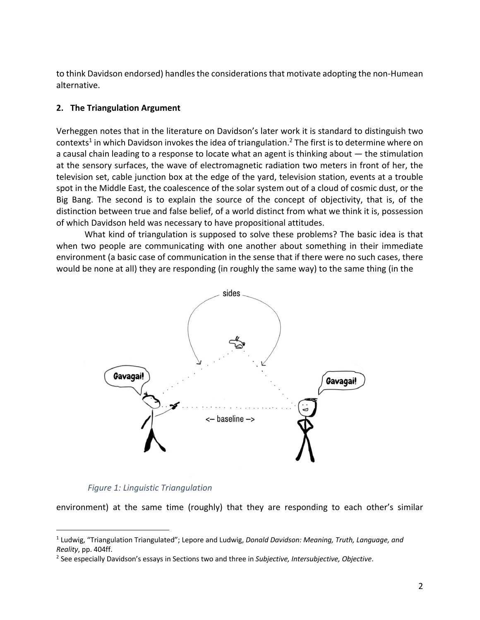to think Davidson endorsed) handles the considerations that motivate adopting the non-Humean alternative.

## **2. The Triangulation Argument**

Verheggen notes that in the literature on Davidson's later work it is standard to distinguish two contexts<sup>1</sup> in which Davidson invokes the idea of triangulation.<sup>2</sup> The first is to determine where on a causal chain leading to a response to locate what an agent is thinking about — the stimulation at the sensory surfaces, the wave of electromagnetic radiation two meters in front of her, the television set, cable junction box at the edge of the yard, television station, events at a trouble spot in the Middle East, the coalescence of the solar system out of a cloud of cosmic dust, or the Big Bang. The second is to explain the source of the concept of objectivity, that is, of the distinction between true and false belief, of a world distinct from what we think it is, possession of which Davidson held was necessary to have propositional attitudes.

What kind of triangulation is supposed to solve these problems? The basic idea is that when two people are communicating with one another about something in their immediate environment (a basic case of communication in the sense that if there were no such cases, there would be none at all) they are responding (in roughly the same way) to the same thing (in the



## *Figure 1: Linguistic Triangulation*

environment) at the same time (roughly) that they are responding to each other's similar

<sup>1</sup> Ludwig, "Triangulation Triangulated"; Lepore and Ludwig, *Donald Davidson: Meaning, Truth, Language, and Reality*, pp. 404ff.

<sup>2</sup> See especially Davidson's essays in Sections two and three in *Subjective, Intersubjective, Objective*.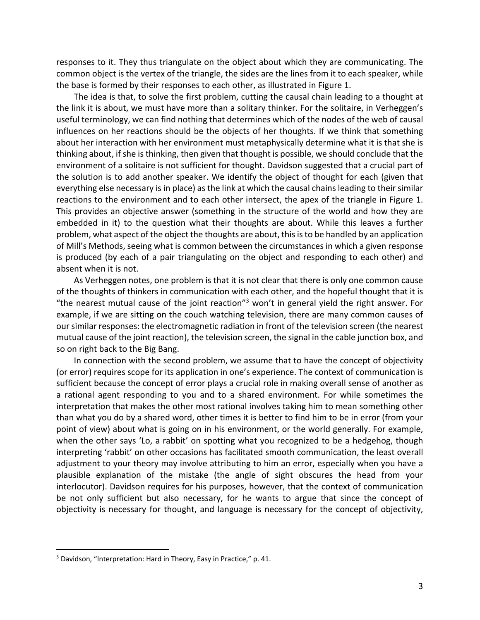responses to it. They thus triangulate on the object about which they are communicating. The common object is the vertex of the triangle, the sides are the lines from it to each speaker, while the base is formed by their responses to each other, as illustrated in Figure 1.

The idea is that, to solve the first problem, cutting the causal chain leading to a thought at the link it is about, we must have more than a solitary thinker. For the solitaire, in Verheggen's useful terminology, we can find nothing that determines which of the nodes of the web of causal influences on her reactions should be the objects of her thoughts. If we think that something about her interaction with her environment must metaphysically determine what it is that she is thinking about, if she is thinking, then given that thought is possible, we should conclude that the environment of a solitaire is not sufficient for thought. Davidson suggested that a crucial part of the solution is to add another speaker. We identify the object of thought for each (given that everything else necessary is in place) as the link at which the causal chains leading to their similar reactions to the environment and to each other intersect, the apex of the triangle in Figure 1. This provides an objective answer (something in the structure of the world and how they are embedded in it) to the question what their thoughts are about. While this leaves a further problem, what aspect of the object the thoughts are about, this is to be handled by an application of Mill's Methods, seeing what is common between the circumstances in which a given response is produced (by each of a pair triangulating on the object and responding to each other) and absent when it is not.

As Verheggen notes, one problem is that it is not clear that there is only one common cause of the thoughts of thinkers in communication with each other, and the hopeful thought that it is "the nearest mutual cause of the joint reaction" $3$  won't in general yield the right answer. For example, if we are sitting on the couch watching television, there are many common causes of our similar responses: the electromagnetic radiation in front of the television screen (the nearest mutual cause of the joint reaction), the television screen, the signal in the cable junction box, and so on right back to the Big Bang.

In connection with the second problem, we assume that to have the concept of objectivity (or error) requires scope for its application in one's experience. The context of communication is sufficient because the concept of error plays a crucial role in making overall sense of another as a rational agent responding to you and to a shared environment. For while sometimes the interpretation that makes the other most rational involves taking him to mean something other than what you do by a shared word, other times it is better to find him to be in error (from your point of view) about what is going on in his environment, or the world generally. For example, when the other says 'Lo, a rabbit' on spotting what you recognized to be a hedgehog, though interpreting 'rabbit' on other occasions has facilitated smooth communication, the least overall adjustment to your theory may involve attributing to him an error, especially when you have a plausible explanation of the mistake (the angle of sight obscures the head from your interlocutor). Davidson requires for his purposes, however, that the context of communication be not only sufficient but also necessary, for he wants to argue that since the concept of objectivity is necessary for thought, and language is necessary for the concept of objectivity,

<sup>&</sup>lt;sup>3</sup> Davidson, "Interpretation: Hard in Theory, Easy in Practice," p. 41.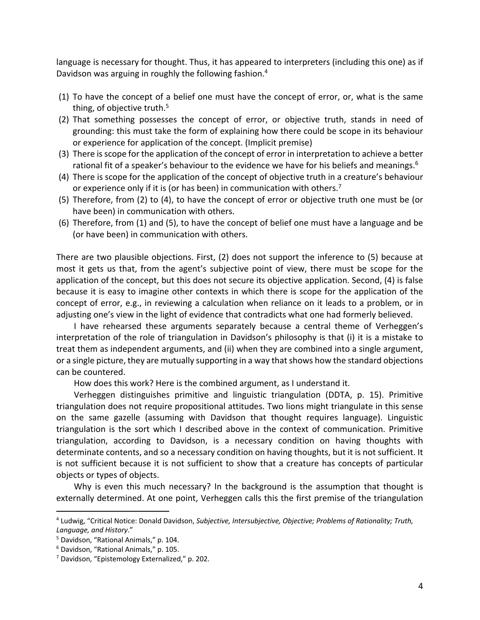language is necessary for thought. Thus, it has appeared to interpreters (including this one) as if Davidson was arguing in roughly the following fashion. 4

- (1) To have the concept of a belief one must have the concept of error, or, what is the same thing, of objective truth.<sup>5</sup>
- (2) That something possesses the concept of error, or objective truth, stands in need of grounding: this must take the form of explaining how there could be scope in its behaviour or experience for application of the concept. (Implicit premise)
- (3) There is scope for the application of the concept of error in interpretation to achieve a better rational fit of a speaker's behaviour to the evidence we have for his beliefs and meanings.<sup>6</sup>
- (4) There is scope for the application of the concept of objective truth in a creature's behaviour or experience only if it is (or has been) in communication with others.<sup>7</sup>
- (5) Therefore, from (2) to (4), to have the concept of error or objective truth one must be (or have been) in communication with others.
- (6) Therefore, from (1) and (5), to have the concept of belief one must have a language and be (or have been) in communication with others.

There are two plausible objections. First, (2) does not support the inference to (5) because at most it gets us that, from the agent's subjective point of view, there must be scope for the application of the concept, but this does not secure its objective application. Second, (4) is false because it is easy to imagine other contexts in which there is scope for the application of the concept of error, e.g., in reviewing a calculation when reliance on it leads to a problem, or in adjusting one's view in the light of evidence that contradicts what one had formerly believed.

I have rehearsed these arguments separately because a central theme of Verheggen's interpretation of the role of triangulation in Davidson's philosophy is that (i) it is a mistake to treat them as independent arguments, and (ii) when they are combined into a single argument, or a single picture, they are mutually supporting in a way that shows how the standard objections can be countered.

How does this work? Here is the combined argument, as I understand it.

Verheggen distinguishes primitive and linguistic triangulation (DDTA, p. 15). Primitive triangulation does not require propositional attitudes. Two lions might triangulate in this sense on the same gazelle (assuming with Davidson that thought requires language). Linguistic triangulation is the sort which I described above in the context of communication. Primitive triangulation, according to Davidson, is a necessary condition on having thoughts with determinate contents, and so a necessary condition on having thoughts, but it is not sufficient. It is not sufficient because it is not sufficient to show that a creature has concepts of particular objects or types of objects.

Why is even this much necessary? In the background is the assumption that thought is externally determined. At one point, Verheggen calls this the first premise of the triangulation

<sup>4</sup> Ludwig, "Critical Notice: Donald Davidson, *Subjective, Intersubjective, Objective; Problems of Rationality; Truth, Language, and History*."

<sup>5</sup> Davidson, "Rational Animals," p. 104.

<sup>6</sup> Davidson, "Rational Animals," p. 105.

 $<sup>7</sup>$  Davidson, "Epistemology Externalized," p. 202.</sup>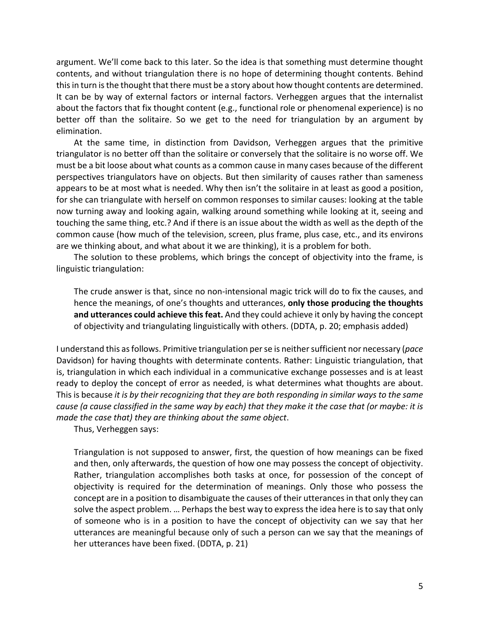argument. We'll come back to this later. So the idea is that something must determine thought contents, and without triangulation there is no hope of determining thought contents. Behind this in turn is the thought that there must be a story about how thought contents are determined. It can be by way of external factors or internal factors. Verheggen argues that the internalist about the factors that fix thought content (e.g., functional role or phenomenal experience) is no better off than the solitaire. So we get to the need for triangulation by an argument by elimination.

At the same time, in distinction from Davidson, Verheggen argues that the primitive triangulator is no better off than the solitaire or conversely that the solitaire is no worse off. We must be a bit loose about what counts as a common cause in many cases because of the different perspectives triangulators have on objects. But then similarity of causes rather than sameness appears to be at most what is needed. Why then isn't the solitaire in at least as good a position, for she can triangulate with herself on common responses to similar causes: looking at the table now turning away and looking again, walking around something while looking at it, seeing and touching the same thing, etc.? And if there is an issue about the width as well as the depth of the common cause (how much of the television, screen, plus frame, plus case, etc., and its environs are we thinking about, and what about it we are thinking), it is a problem for both.

The solution to these problems, which brings the concept of objectivity into the frame, is linguistic triangulation:

The crude answer is that, since no non-intensional magic trick will do to fix the causes, and hence the meanings, of one's thoughts and utterances, **only those producing the thoughts and utterances could achieve this feat.** And they could achieve it only by having the concept of objectivity and triangulating linguistically with others. (DDTA, p. 20; emphasis added)

I understand this as follows. Primitive triangulation per se is neither sufficient nor necessary (*pace* Davidson) for having thoughts with determinate contents. Rather: Linguistic triangulation, that is, triangulation in which each individual in a communicative exchange possesses and is at least ready to deploy the concept of error as needed, is what determines what thoughts are about. This is because *it is by their recognizing that they are both responding in similar ways to the same cause (a cause classified in the same way by each) that they make it the case that (or maybe: it is made the case that) they are thinking about the same object*.

Thus, Verheggen says:

Triangulation is not supposed to answer, first, the question of how meanings can be fixed and then, only afterwards, the question of how one may possess the concept of objectivity. Rather, triangulation accomplishes both tasks at once, for possession of the concept of objectivity is required for the determination of meanings. Only those who possess the concept are in a position to disambiguate the causes of their utterances in that only they can solve the aspect problem. … Perhaps the best way to express the idea here is to say that only of someone who is in a position to have the concept of objectivity can we say that her utterances are meaningful because only of such a person can we say that the meanings of her utterances have been fixed. (DDTA, p. 21)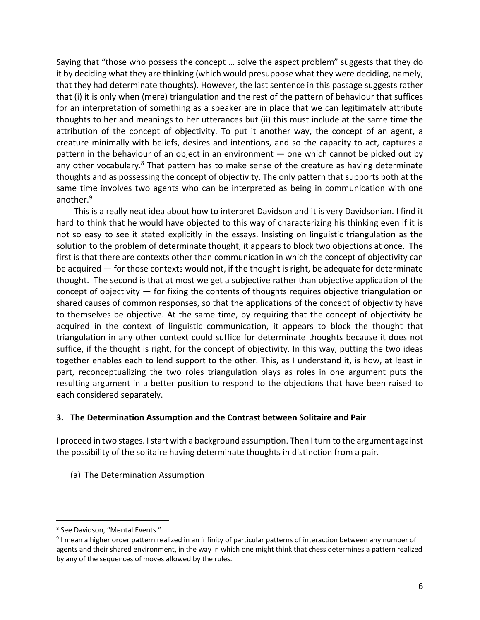Saying that "those who possess the concept … solve the aspect problem" suggests that they do it by deciding what they are thinking (which would presuppose what they were deciding, namely, that they had determinate thoughts). However, the last sentence in this passage suggests rather that (i) it is only when (mere) triangulation and the rest of the pattern of behaviour that suffices for an interpretation of something as a speaker are in place that we can legitimately attribute thoughts to her and meanings to her utterances but (ii) this must include at the same time the attribution of the concept of objectivity. To put it another way, the concept of an agent, a creature minimally with beliefs, desires and intentions, and so the capacity to act, captures a pattern in the behaviour of an object in an environment — one which cannot be picked out by any other vocabulary.<sup>8</sup> That pattern has to make sense of the creature as having determinate thoughts and as possessing the concept of objectivity. The only pattern that supports both at the same time involves two agents who can be interpreted as being in communication with one another.<sup>9</sup>

This is a really neat idea about how to interpret Davidson and it is very Davidsonian. I find it hard to think that he would have objected to this way of characterizing his thinking even if it is not so easy to see it stated explicitly in the essays. Insisting on linguistic triangulation as the solution to the problem of determinate thought, it appears to block two objections at once. The first is that there are contexts other than communication in which the concept of objectivity can be acquired — for those contexts would not, if the thought is right, be adequate for determinate thought. The second is that at most we get a subjective rather than objective application of the concept of objectivity — for fixing the contents of thoughts requires objective triangulation on shared causes of common responses, so that the applications of the concept of objectivity have to themselves be objective. At the same time, by requiring that the concept of objectivity be acquired in the context of linguistic communication, it appears to block the thought that triangulation in any other context could suffice for determinate thoughts because it does not suffice, if the thought is right, for the concept of objectivity. In this way, putting the two ideas together enables each to lend support to the other. This, as I understand it, is how, at least in part, reconceptualizing the two roles triangulation plays as roles in one argument puts the resulting argument in a better position to respond to the objections that have been raised to each considered separately.

# **3. The Determination Assumption and the Contrast between Solitaire and Pair**

I proceed in two stages. I start with a background assumption. Then I turn to the argument against the possibility of the solitaire having determinate thoughts in distinction from a pair.

(a) The Determination Assumption

<sup>8</sup> See Davidson, "Mental Events."

<sup>&</sup>lt;sup>9</sup> I mean a higher order pattern realized in an infinity of particular patterns of interaction between any number of agents and their shared environment, in the way in which one might think that chess determines a pattern realized by any of the sequences of moves allowed by the rules.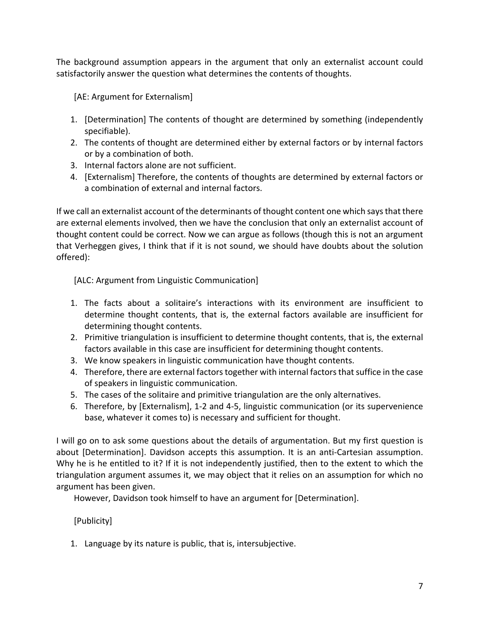The background assumption appears in the argument that only an externalist account could satisfactorily answer the question what determines the contents of thoughts.

[AE: Argument for Externalism]

- 1. [Determination] The contents of thought are determined by something (independently specifiable).
- 2. The contents of thought are determined either by external factors or by internal factors or by a combination of both.
- 3. Internal factors alone are not sufficient.
- 4. [Externalism] Therefore, the contents of thoughts are determined by external factors or a combination of external and internal factors.

If we call an externalist account of the determinants of thought content one which saysthat there are external elements involved, then we have the conclusion that only an externalist account of thought content could be correct. Now we can argue as follows (though this is not an argument that Verheggen gives, I think that if it is not sound, we should have doubts about the solution offered):

[ALC: Argument from Linguistic Communication]

- 1. The facts about a solitaire's interactions with its environment are insufficient to determine thought contents, that is, the external factors available are insufficient for determining thought contents.
- 2. Primitive triangulation is insufficient to determine thought contents, that is, the external factors available in this case are insufficient for determining thought contents.
- 3. We know speakers in linguistic communication have thought contents.
- 4. Therefore, there are external factors together with internal factors that suffice in the case of speakers in linguistic communication.
- 5. The cases of the solitaire and primitive triangulation are the only alternatives.
- 6. Therefore, by [Externalism], 1-2 and 4-5, linguistic communication (or its supervenience base, whatever it comes to) is necessary and sufficient for thought.

I will go on to ask some questions about the details of argumentation. But my first question is about [Determination]. Davidson accepts this assumption. It is an anti-Cartesian assumption. Why he is he entitled to it? If it is not independently justified, then to the extent to which the triangulation argument assumes it, we may object that it relies on an assumption for which no argument has been given.

However, Davidson took himself to have an argument for [Determination].

[Publicity]

1. Language by its nature is public, that is, intersubjective.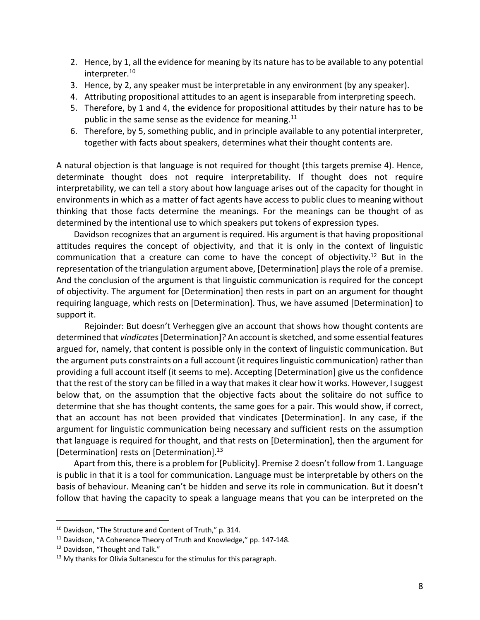- 2. Hence, by 1, all the evidence for meaning by its nature has to be available to any potential interpreter. 10
- 3. Hence, by 2, any speaker must be interpretable in any environment (by any speaker).
- 4. Attributing propositional attitudes to an agent is inseparable from interpreting speech.
- 5. Therefore, by 1 and 4, the evidence for propositional attitudes by their nature has to be public in the same sense as the evidence for meaning. $11$
- 6. Therefore, by 5, something public, and in principle available to any potential interpreter, together with facts about speakers, determines what their thought contents are.

A natural objection is that language is not required for thought (this targets premise 4). Hence, determinate thought does not require interpretability. If thought does not require interpretability, we can tell a story about how language arises out of the capacity for thought in environments in which as a matter of fact agents have access to public clues to meaning without thinking that those facts determine the meanings. For the meanings can be thought of as determined by the intentional use to which speakers put tokens of expression types.

Davidson recognizes that an argument is required. His argument is that having propositional attitudes requires the concept of objectivity, and that it is only in the context of linguistic communication that a creature can come to have the concept of objectivity.<sup>12</sup> But in the representation of the triangulation argument above, [Determination] plays the role of a premise. And the conclusion of the argument is that linguistic communication is required for the concept of objectivity. The argument for [Determination] then rests in part on an argument for thought requiring language, which rests on [Determination]. Thus, we have assumed [Determination] to support it.

Rejoinder: But doesn't Verheggen give an account that shows how thought contents are determined that *vindicates*[Determination]? An account is sketched, and some essential features argued for, namely, that content is possible only in the context of linguistic communication. But the argument puts constraints on a full account (it requires linguistic communication) rather than providing a full account itself (it seems to me). Accepting [Determination] give us the confidence that the rest of the story can be filled in a way that makes it clear how it works. However, I suggest below that, on the assumption that the objective facts about the solitaire do not suffice to determine that she has thought contents, the same goes for a pair. This would show, if correct, that an account has not been provided that vindicates [Determination]. In any case, if the argument for linguistic communication being necessary and sufficient rests on the assumption that language is required for thought, and that rests on [Determination], then the argument for [Determination] rests on [Determination].<sup>13</sup>

Apart from this, there is a problem for [Publicity]. Premise 2 doesn't follow from 1. Language is public in that it is a tool for communication. Language must be interpretable by others on the basis of behaviour. Meaning can't be hidden and serve its role in communication. But it doesn't follow that having the capacity to speak a language means that you can be interpreted on the

<sup>&</sup>lt;sup>10</sup> Davidson, "The Structure and Content of Truth," p. 314.

<sup>&</sup>lt;sup>11</sup> Davidson, "A Coherence Theory of Truth and Knowledge," pp. 147-148.

<sup>&</sup>lt;sup>12</sup> Davidson, "Thought and Talk."

<sup>&</sup>lt;sup>13</sup> My thanks for Olivia Sultanescu for the stimulus for this paragraph.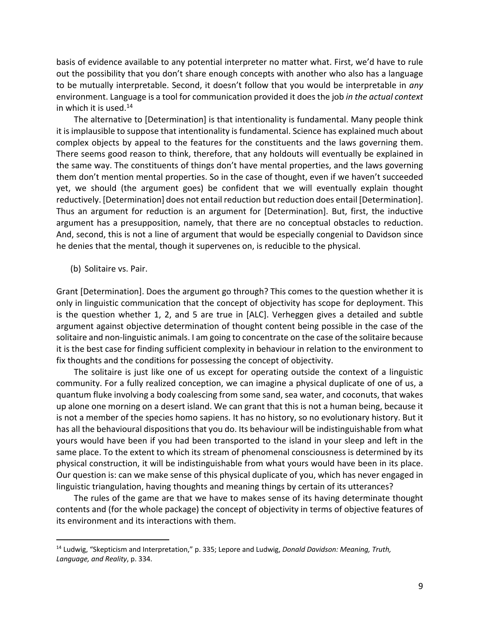basis of evidence available to any potential interpreter no matter what. First, we'd have to rule out the possibility that you don't share enough concepts with another who also has a language to be mutually interpretable. Second, it doesn't follow that you would be interpretable in *any* environment. Language is a tool for communication provided it does the job *in the actual context* in which it is used. 14

The alternative to [Determination] is that intentionality is fundamental. Many people think it is implausible to suppose that intentionality is fundamental. Science has explained much about complex objects by appeal to the features for the constituents and the laws governing them. There seems good reason to think, therefore, that any holdouts will eventually be explained in the same way. The constituents of things don't have mental properties, and the laws governing them don't mention mental properties. So in the case of thought, even if we haven't succeeded yet, we should (the argument goes) be confident that we will eventually explain thought reductively. [Determination] does not entail reduction but reduction does entail [Determination]. Thus an argument for reduction is an argument for [Determination]. But, first, the inductive argument has a presupposition, namely, that there are no conceptual obstacles to reduction. And, second, this is not a line of argument that would be especially congenial to Davidson since he denies that the mental, though it supervenes on, is reducible to the physical.

(b) Solitaire vs. Pair.

Grant [Determination]. Does the argument go through? This comes to the question whether it is only in linguistic communication that the concept of objectivity has scope for deployment. This is the question whether 1, 2, and 5 are true in [ALC]. Verheggen gives a detailed and subtle argument against objective determination of thought content being possible in the case of the solitaire and non-linguistic animals. I am going to concentrate on the case of the solitaire because it is the best case for finding sufficient complexity in behaviour in relation to the environment to fix thoughts and the conditions for possessing the concept of objectivity.

The solitaire is just like one of us except for operating outside the context of a linguistic community. For a fully realized conception, we can imagine a physical duplicate of one of us, a quantum fluke involving a body coalescing from some sand, sea water, and coconuts, that wakes up alone one morning on a desert island. We can grant that this is not a human being, because it is not a member of the species homo sapiens. It has no history, so no evolutionary history. But it has all the behavioural dispositions that you do. Its behaviour will be indistinguishable from what yours would have been if you had been transported to the island in your sleep and left in the same place. To the extent to which its stream of phenomenal consciousness is determined by its physical construction, it will be indistinguishable from what yours would have been in its place. Our question is: can we make sense of this physical duplicate of you, which has never engaged in linguistic triangulation, having thoughts and meaning things by certain of its utterances?

The rules of the game are that we have to makes sense of its having determinate thought contents and (for the whole package) the concept of objectivity in terms of objective features of its environment and its interactions with them.

<sup>14</sup> Ludwig, "Skepticism and Interpretation," p. 335; Lepore and Ludwig, *Donald Davidson: Meaning, Truth, Language, and Reality*, p. 334.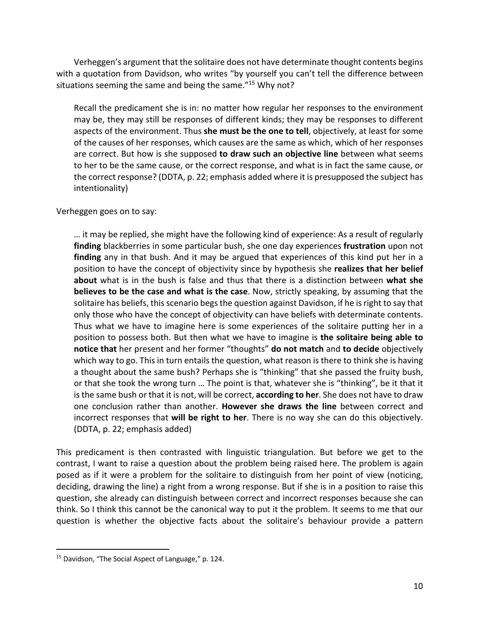Verheggen's argument that the solitaire does not have determinate thought contents begins with a quotation from Davidson, who writes "by yourself you can't tell the difference between situations seeming the same and being the same."<sup>15</sup> Why not?

Recall the predicament she is in: no matter how regular her responses to the environment may be, they may still be responses of different kinds; they may be responses to different aspects of the environment. Thus **she must be the one to tell**, objectively, at least for some of the causes of her responses, which causes are the same as which, which of her responses are correct. But how is she supposed **to draw such an objective line** between what seems to her to be the same cause, or the correct response, and what is in fact the same cause, or the correct response? (DDTA, p. 22; emphasis added where it is presupposed the subject has intentionality)

Verheggen goes on to say:

… it may be replied, she might have the following kind of experience: As a result of regularly **finding** blackberries in some particular bush, she one day experiences **frustration** upon not **finding** any in that bush. And it may be argued that experiences of this kind put her in a position to have the concept of objectivity since by hypothesis she **realizes that her belief about** what is in the bush is false and thus that there is a distinction between **what she believes to be the case and what is the case**. Now, strictly speaking, by assuming that the solitaire has beliefs, this scenario begs the question against Davidson, if he is right to say that only those who have the concept of objectivity can have beliefs with determinate contents. Thus what we have to imagine here is some experiences of the solitaire putting her in a position to possess both. But then what we have to imagine is **the solitaire being able to notice that** her present and her former "thoughts" **do not match** and **to decide** objectively which way to go. This in turn entails the question, what reason is there to think she is having a thought about the same bush? Perhaps she is "thinking" that she passed the fruity bush, or that she took the wrong turn … The point is that, whatever she is "thinking", be it that it is the same bush or that it is not, will be correct, **according to her**. She does not have to draw one conclusion rather than another. **However she draws the line** between correct and incorrect responses that **will be right to her**. There is no way she can do this objectively. (DDTA, p. 22; emphasis added)

This predicament is then contrasted with linguistic triangulation. But before we get to the contrast, I want to raise a question about the problem being raised here. The problem is again posed as if it were a problem for the solitaire to distinguish from her point of view (noticing, deciding, drawing the line) a right from a wrong response. But if she is in a position to raise this question, she already can distinguish between correct and incorrect responses because she can think. So I think this cannot be the canonical way to put it the problem. It seems to me that our question is whether the objective facts about the solitaire's behaviour provide a pattern

<sup>&</sup>lt;sup>15</sup> Davidson, "The Social Aspect of Language," p. 124.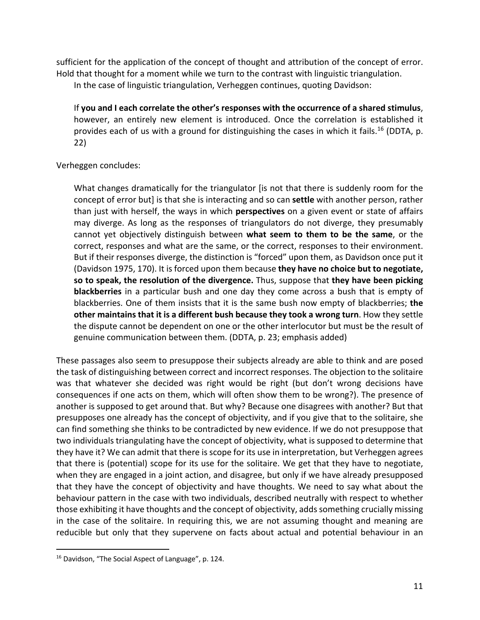sufficient for the application of the concept of thought and attribution of the concept of error. Hold that thought for a moment while we turn to the contrast with linguistic triangulation.

In the case of linguistic triangulation, Verheggen continues, quoting Davidson:

If **you and I each correlate the other's responses with the occurrence of a shared stimulus**, however, an entirely new element is introduced. Once the correlation is established it provides each of us with a ground for distinguishing the cases in which it fails.<sup>16</sup> (DDTA, p. 22)

## Verheggen concludes:

What changes dramatically for the triangulator [is not that there is suddenly room for the concept of error but] is that she is interacting and so can **settle** with another person, rather than just with herself, the ways in which **perspectives** on a given event or state of affairs may diverge. As long as the responses of triangulators do not diverge, they presumably cannot yet objectively distinguish between **what seem to them to be the same**, or the correct, responses and what are the same, or the correct, responses to their environment. But if their responses diverge, the distinction is "forced" upon them, as Davidson once put it (Davidson 1975, 170). It is forced upon them because **they have no choice but to negotiate, so to speak, the resolution of the divergence.** Thus, suppose that **they have been picking blackberries** in a particular bush and one day they come across a bush that is empty of blackberries. One of them insists that it is the same bush now empty of blackberries; **the other maintains that it is a different bush because they took a wrong turn**. How they settle the dispute cannot be dependent on one or the other interlocutor but must be the result of genuine communication between them. (DDTA, p. 23; emphasis added)

These passages also seem to presuppose their subjects already are able to think and are posed the task of distinguishing between correct and incorrect responses. The objection to the solitaire was that whatever she decided was right would be right (but don't wrong decisions have consequences if one acts on them, which will often show them to be wrong?). The presence of another is supposed to get around that. But why? Because one disagrees with another? But that presupposes one already has the concept of objectivity, and if you give that to the solitaire, she can find something she thinks to be contradicted by new evidence. If we do not presuppose that two individuals triangulating have the concept of objectivity, what is supposed to determine that they have it? We can admit that there is scope for its use in interpretation, but Verheggen agrees that there is (potential) scope for its use for the solitaire. We get that they have to negotiate, when they are engaged in a joint action, and disagree, but only if we have already presupposed that they have the concept of objectivity and have thoughts. We need to say what about the behaviour pattern in the case with two individuals, described neutrally with respect to whether those exhibiting it have thoughts and the concept of objectivity, adds something crucially missing in the case of the solitaire. In requiring this, we are not assuming thought and meaning are reducible but only that they supervene on facts about actual and potential behaviour in an

<sup>16</sup> Davidson, "The Social Aspect of Language", p. 124.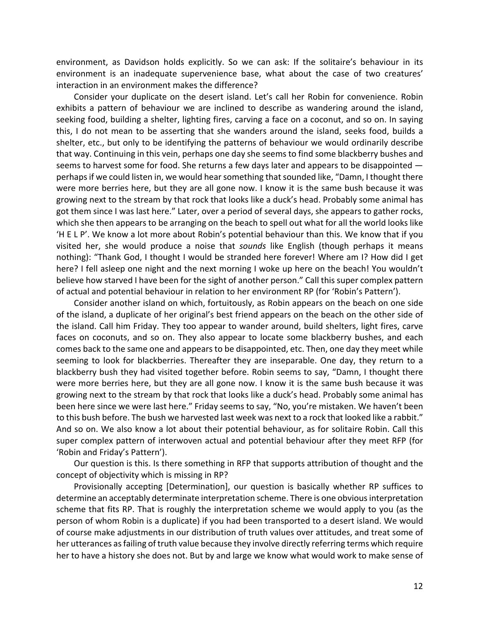environment, as Davidson holds explicitly. So we can ask: If the solitaire's behaviour in its environment is an inadequate supervenience base, what about the case of two creatures' interaction in an environment makes the difference?

Consider your duplicate on the desert island. Let's call her Robin for convenience. Robin exhibits a pattern of behaviour we are inclined to describe as wandering around the island, seeking food, building a shelter, lighting fires, carving a face on a coconut, and so on. In saying this, I do not mean to be asserting that she wanders around the island, seeks food, builds a shelter, etc., but only to be identifying the patterns of behaviour we would ordinarily describe that way. Continuing in this vein, perhaps one day she seems to find some blackberry bushes and seems to harvest some for food. She returns a few days later and appears to be disappointed perhaps if we could listen in, we would hear something that sounded like, "Damn, I thought there were more berries here, but they are all gone now. I know it is the same bush because it was growing next to the stream by that rock that looks like a duck's head. Probably some animal has got them since I was last here." Later, over a period of several days, she appears to gather rocks, which she then appears to be arranging on the beach to spell out what for all the world looks like 'H E L P'. We know a lot more about Robin's potential behaviour than this. We know that if you visited her, she would produce a noise that *sounds* like English (though perhaps it means nothing): "Thank God, I thought I would be stranded here forever! Where am I? How did I get here? I fell asleep one night and the next morning I woke up here on the beach! You wouldn't believe how starved I have been for the sight of another person." Call this super complex pattern of actual and potential behaviour in relation to her environment RP (for 'Robin's Pattern').

Consider another island on which, fortuitously, as Robin appears on the beach on one side of the island, a duplicate of her original's best friend appears on the beach on the other side of the island. Call him Friday. They too appear to wander around, build shelters, light fires, carve faces on coconuts, and so on. They also appear to locate some blackberry bushes, and each comes back to the same one and appears to be disappointed, etc. Then, one day they meet while seeming to look for blackberries. Thereafter they are inseparable. One day, they return to a blackberry bush they had visited together before. Robin seems to say, "Damn, I thought there were more berries here, but they are all gone now. I know it is the same bush because it was growing next to the stream by that rock that looks like a duck's head. Probably some animal has been here since we were last here." Friday seems to say, "No, you're mistaken. We haven't been to this bush before. The bush we harvested last week was next to a rock that looked like a rabbit." And so on. We also know a lot about their potential behaviour, as for solitaire Robin. Call this super complex pattern of interwoven actual and potential behaviour after they meet RFP (for 'Robin and Friday's Pattern').

Our question is this. Is there something in RFP that supports attribution of thought and the concept of objectivity which is missing in RP?

Provisionally accepting [Determination], our question is basically whether RP suffices to determine an acceptably determinate interpretation scheme. There is one obvious interpretation scheme that fits RP. That is roughly the interpretation scheme we would apply to you (as the person of whom Robin is a duplicate) if you had been transported to a desert island. We would of course make adjustments in our distribution of truth values over attitudes, and treat some of her utterances as failing of truth value because they involve directly referring terms which require her to have a history she does not. But by and large we know what would work to make sense of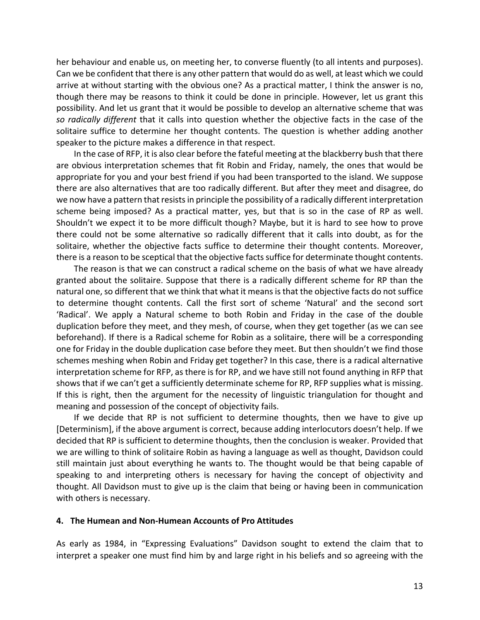her behaviour and enable us, on meeting her, to converse fluently (to all intents and purposes). Can we be confident that there is any other pattern that would do as well, at least which we could arrive at without starting with the obvious one? As a practical matter, I think the answer is no, though there may be reasons to think it could be done in principle. However, let us grant this possibility. And let us grant that it would be possible to develop an alternative scheme that was *so radically different* that it calls into question whether the objective facts in the case of the solitaire suffice to determine her thought contents. The question is whether adding another speaker to the picture makes a difference in that respect.

In the case of RFP, it is also clear before the fateful meeting at the blackberry bush that there are obvious interpretation schemes that fit Robin and Friday, namely, the ones that would be appropriate for you and your best friend if you had been transported to the island. We suppose there are also alternatives that are too radically different. But after they meet and disagree, do we now have a pattern that resists in principle the possibility of a radically different interpretation scheme being imposed? As a practical matter, yes, but that is so in the case of RP as well. Shouldn't we expect it to be more difficult though? Maybe, but it is hard to see how to prove there could not be some alternative so radically different that it calls into doubt, as for the solitaire, whether the objective facts suffice to determine their thought contents. Moreover, there is a reason to be sceptical that the objective facts suffice for determinate thought contents.

The reason is that we can construct a radical scheme on the basis of what we have already granted about the solitaire. Suppose that there is a radically different scheme for RP than the natural one, so different that we think that what it means is that the objective facts do not suffice to determine thought contents. Call the first sort of scheme 'Natural' and the second sort 'Radical'. We apply a Natural scheme to both Robin and Friday in the case of the double duplication before they meet, and they mesh, of course, when they get together (as we can see beforehand). If there is a Radical scheme for Robin as a solitaire, there will be a corresponding one for Friday in the double duplication case before they meet. But then shouldn't we find those schemes meshing when Robin and Friday get together? In this case, there is a radical alternative interpretation scheme for RFP, as there is for RP, and we have still not found anything in RFP that shows that if we can't get a sufficiently determinate scheme for RP, RFP supplies what is missing. If this is right, then the argument for the necessity of linguistic triangulation for thought and meaning and possession of the concept of objectivity fails.

If we decide that RP is not sufficient to determine thoughts, then we have to give up [Determinism], if the above argument is correct, because adding interlocutors doesn't help. If we decided that RP is sufficient to determine thoughts, then the conclusion is weaker. Provided that we are willing to think of solitaire Robin as having a language as well as thought, Davidson could still maintain just about everything he wants to. The thought would be that being capable of speaking to and interpreting others is necessary for having the concept of objectivity and thought. All Davidson must to give up is the claim that being or having been in communication with others is necessary.

#### **4. The Humean and Non-Humean Accounts of Pro Attitudes**

As early as 1984, in "Expressing Evaluations" Davidson sought to extend the claim that to interpret a speaker one must find him by and large right in his beliefs and so agreeing with the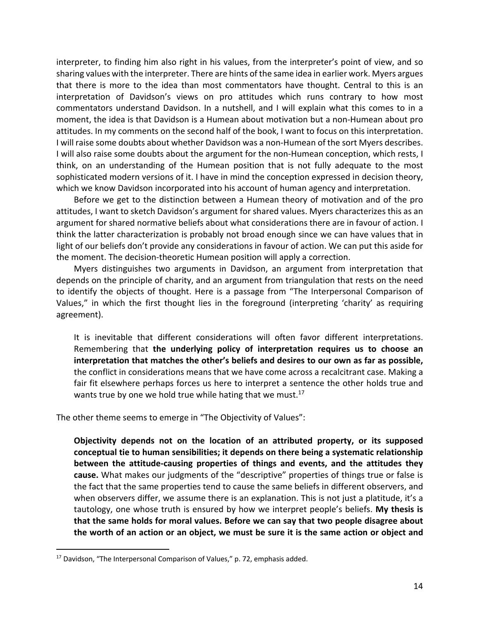interpreter, to finding him also right in his values, from the interpreter's point of view, and so sharing values with the interpreter. There are hints of the same idea in earlier work. Myers argues that there is more to the idea than most commentators have thought. Central to this is an interpretation of Davidson's views on pro attitudes which runs contrary to how most commentators understand Davidson. In a nutshell, and I will explain what this comes to in a moment, the idea is that Davidson is a Humean about motivation but a non-Humean about pro attitudes. In my comments on the second half of the book, I want to focus on this interpretation. I will raise some doubts about whether Davidson was a non-Humean of the sort Myers describes. I will also raise some doubts about the argument for the non-Humean conception, which rests, I think, on an understanding of the Humean position that is not fully adequate to the most sophisticated modern versions of it. I have in mind the conception expressed in decision theory, which we know Davidson incorporated into his account of human agency and interpretation.

Before we get to the distinction between a Humean theory of motivation and of the pro attitudes, I want to sketch Davidson's argument for shared values. Myers characterizes this as an argument for shared normative beliefs about what considerations there are in favour of action. I think the latter characterization is probably not broad enough since we can have values that in light of our beliefs don't provide any considerations in favour of action. We can put this aside for the moment. The decision-theoretic Humean position will apply a correction.

Myers distinguishes two arguments in Davidson, an argument from interpretation that depends on the principle of charity, and an argument from triangulation that rests on the need to identify the objects of thought. Here is a passage from "The Interpersonal Comparison of Values," in which the first thought lies in the foreground (interpreting 'charity' as requiring agreement).

It is inevitable that different considerations will often favor different interpretations. Remembering that **the underlying policy of interpretation requires us to choose an interpretation that matches the other's beliefs and desires to our own as far as possible,** the conflict in considerations means that we have come across a recalcitrant case. Making a fair fit elsewhere perhaps forces us here to interpret a sentence the other holds true and wants true by one we hold true while hating that we must.<sup>17</sup>

The other theme seems to emerge in "The Objectivity of Values":

**Objectivity depends not on the location of an attributed property, or its supposed conceptual tie to human sensibilities; it depends on there being a systematic relationship between the attitude-causing properties of things and events, and the attitudes they cause.** What makes our judgments of the "descriptive" properties of things true or false is the fact that the same properties tend to cause the same beliefs in different observers, and when observers differ, we assume there is an explanation. This is not just a platitude, it's a tautology, one whose truth is ensured by how we interpret people's beliefs. **My thesis is that the same holds for moral values. Before we can say that two people disagree about the worth of an action or an object, we must be sure it is the same action or object and** 

 $17$  Davidson, "The Interpersonal Comparison of Values," p. 72, emphasis added.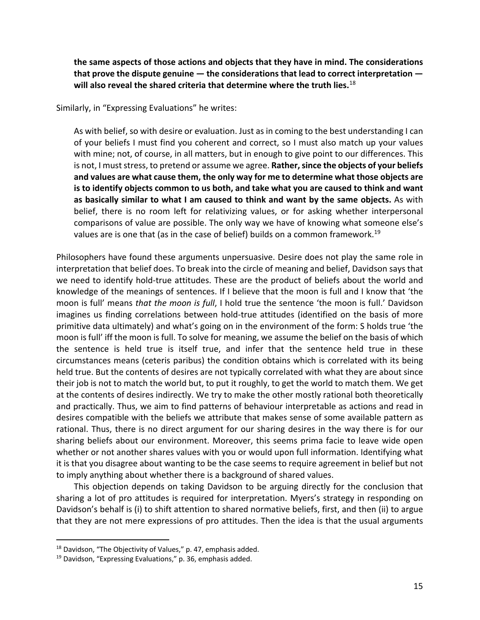**the same aspects of those actions and objects that they have in mind. The considerations that prove the dispute genuine — the considerations that lead to correct interpretation will also reveal the shared criteria that determine where the truth lies.**<sup>18</sup>

Similarly, in "Expressing Evaluations" he writes:

As with belief, so with desire or evaluation. Just as in coming to the best understanding I can of your beliefs I must find you coherent and correct, so I must also match up your values with mine; not, of course, in all matters, but in enough to give point to our differences. This is not, I must stress, to pretend or assume we agree. **Rather, since the objects of your beliefs and values are what cause them, the only way for me to determine what those objects are is to identify objects common to us both, and take what you are caused to think and want as basically similar to what I am caused to think and want by the same objects.** As with belief, there is no room left for relativizing values, or for asking whether interpersonal comparisons of value are possible. The only way we have of knowing what someone else's values are is one that (as in the case of belief) builds on a common framework.<sup>19</sup>

Philosophers have found these arguments unpersuasive. Desire does not play the same role in interpretation that belief does. To break into the circle of meaning and belief, Davidson says that we need to identify hold-true attitudes. These are the product of beliefs about the world and knowledge of the meanings of sentences. If I believe that the moon is full and I know that 'the moon is full' means *that the moon is full*, I hold true the sentence 'the moon is full.' Davidson imagines us finding correlations between hold-true attitudes (identified on the basis of more primitive data ultimately) and what's going on in the environment of the form: S holds true 'the moon is full' iff the moon is full. To solve for meaning, we assume the belief on the basis of which the sentence is held true is itself true, and infer that the sentence held true in these circumstances means (ceteris paribus) the condition obtains which is correlated with its being held true. But the contents of desires are not typically correlated with what they are about since their job is not to match the world but, to put it roughly, to get the world to match them. We get at the contents of desires indirectly. We try to make the other mostly rational both theoretically and practically. Thus, we aim to find patterns of behaviour interpretable as actions and read in desires compatible with the beliefs we attribute that makes sense of some available pattern as rational. Thus, there is no direct argument for our sharing desires in the way there is for our sharing beliefs about our environment. Moreover, this seems prima facie to leave wide open whether or not another shares values with you or would upon full information. Identifying what it is that you disagree about wanting to be the case seems to require agreement in belief but not to imply anything about whether there is a background of shared values.

This objection depends on taking Davidson to be arguing directly for the conclusion that sharing a lot of pro attitudes is required for interpretation. Myers's strategy in responding on Davidson's behalf is (i) to shift attention to shared normative beliefs, first, and then (ii) to argue that they are not mere expressions of pro attitudes. Then the idea is that the usual arguments

 $18$  Davidson, "The Objectivity of Values," p. 47, emphasis added.

 $19$  Davidson, "Expressing Evaluations," p. 36, emphasis added.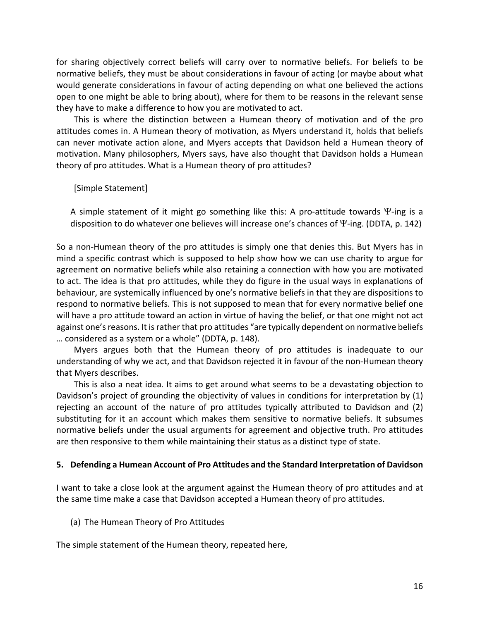for sharing objectively correct beliefs will carry over to normative beliefs. For beliefs to be normative beliefs, they must be about considerations in favour of acting (or maybe about what would generate considerations in favour of acting depending on what one believed the actions open to one might be able to bring about), where for them to be reasons in the relevant sense they have to make a difference to how you are motivated to act.

This is where the distinction between a Humean theory of motivation and of the pro attitudes comes in. A Humean theory of motivation, as Myers understand it, holds that beliefs can never motivate action alone, and Myers accepts that Davidson held a Humean theory of motivation. Many philosophers, Myers says, have also thought that Davidson holds a Humean theory of pro attitudes. What is a Humean theory of pro attitudes?

#### [Simple Statement]

A simple statement of it might go something like this: A pro-attitude towards  $\Psi$ -ing is a disposition to do whatever one believes will increase one's chances of  $\Psi$ -ing. (DDTA, p. 142)

So a non-Humean theory of the pro attitudes is simply one that denies this. But Myers has in mind a specific contrast which is supposed to help show how we can use charity to argue for agreement on normative beliefs while also retaining a connection with how you are motivated to act. The idea is that pro attitudes, while they do figure in the usual ways in explanations of behaviour, are systemically influenced by one's normative beliefs in that they are dispositions to respond to normative beliefs. This is not supposed to mean that for every normative belief one will have a pro attitude toward an action in virtue of having the belief, or that one might not act against one's reasons. It is rather that pro attitudes "are typically dependent on normative beliefs … considered as a system or a whole" (DDTA, p. 148).

Myers argues both that the Humean theory of pro attitudes is inadequate to our understanding of why we act, and that Davidson rejected it in favour of the non-Humean theory that Myers describes.

This is also a neat idea. It aims to get around what seems to be a devastating objection to Davidson's project of grounding the objectivity of values in conditions for interpretation by (1) rejecting an account of the nature of pro attitudes typically attributed to Davidson and (2) substituting for it an account which makes them sensitive to normative beliefs. It subsumes normative beliefs under the usual arguments for agreement and objective truth. Pro attitudes are then responsive to them while maintaining their status as a distinct type of state.

## **5. Defending a Humean Account of Pro Attitudes and the Standard Interpretation of Davidson**

I want to take a close look at the argument against the Humean theory of pro attitudes and at the same time make a case that Davidson accepted a Humean theory of pro attitudes.

## (a) The Humean Theory of Pro Attitudes

The simple statement of the Humean theory, repeated here,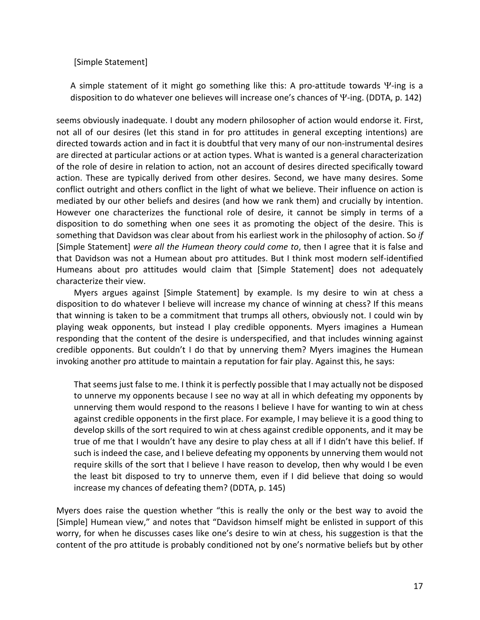[Simple Statement]

A simple statement of it might go something like this: A pro-attitude towards  $\Psi$ -ing is a disposition to do whatever one believes will increase one's chances of  $\Psi$ -ing. (DDTA, p. 142)

seems obviously inadequate. I doubt any modern philosopher of action would endorse it. First, not all of our desires (let this stand in for pro attitudes in general excepting intentions) are directed towards action and in fact it is doubtful that very many of our non-instrumental desires are directed at particular actions or at action types. What is wanted is a general characterization of the role of desire in relation to action, not an account of desires directed specifically toward action. These are typically derived from other desires. Second, we have many desires. Some conflict outright and others conflict in the light of what we believe. Their influence on action is mediated by our other beliefs and desires (and how we rank them) and crucially by intention. However one characterizes the functional role of desire, it cannot be simply in terms of a disposition to do something when one sees it as promoting the object of the desire. This is something that Davidson was clear about from his earliest work in the philosophy of action. So *if* [Simple Statement] *were all the Humean theory could come to*, then I agree that it is false and that Davidson was not a Humean about pro attitudes. But I think most modern self-identified Humeans about pro attitudes would claim that [Simple Statement] does not adequately characterize their view.

Myers argues against [Simple Statement] by example. Is my desire to win at chess a disposition to do whatever I believe will increase my chance of winning at chess? If this means that winning is taken to be a commitment that trumps all others, obviously not. I could win by playing weak opponents, but instead I play credible opponents. Myers imagines a Humean responding that the content of the desire is underspecified, and that includes winning against credible opponents. But couldn't I do that by unnerving them? Myers imagines the Humean invoking another pro attitude to maintain a reputation for fair play. Against this, he says:

That seems just false to me. I think it is perfectly possible that I may actually not be disposed to unnerve my opponents because I see no way at all in which defeating my opponents by unnerving them would respond to the reasons I believe I have for wanting to win at chess against credible opponents in the first place. For example, I may believe it is a good thing to develop skills of the sort required to win at chess against credible opponents, and it may be true of me that I wouldn't have any desire to play chess at all if I didn't have this belief. If such is indeed the case, and I believe defeating my opponents by unnerving them would not require skills of the sort that I believe I have reason to develop, then why would I be even the least bit disposed to try to unnerve them, even if I did believe that doing so would increase my chances of defeating them? (DDTA, p. 145)

Myers does raise the question whether "this is really the only or the best way to avoid the [Simple] Humean view," and notes that "Davidson himself might be enlisted in support of this worry, for when he discusses cases like one's desire to win at chess, his suggestion is that the content of the pro attitude is probably conditioned not by one's normative beliefs but by other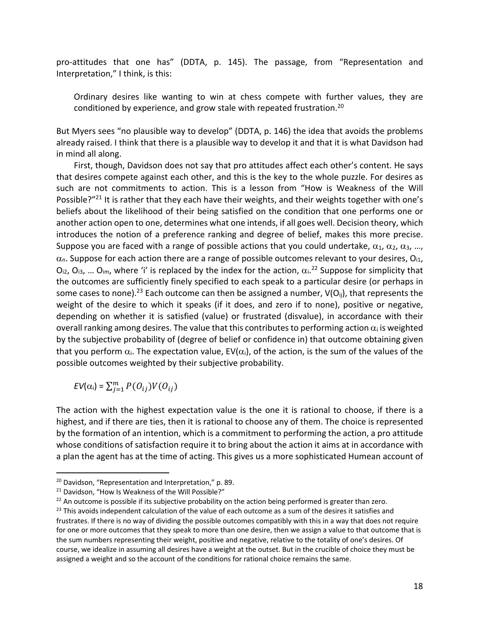pro-attitudes that one has" (DDTA, p. 145). The passage, from "Representation and Interpretation," I think, is this:

Ordinary desires like wanting to win at chess compete with further values, they are conditioned by experience, and grow stale with repeated frustration.20

But Myers sees "no plausible way to develop" (DDTA, p. 146) the idea that avoids the problems already raised. I think that there is a plausible way to develop it and that it is what Davidson had in mind all along.

First, though, Davidson does not say that pro attitudes affect each other's content. He says that desires compete against each other, and this is the key to the whole puzzle. For desires as such are not commitments to action. This is a lesson from "How is Weakness of the Will Possible?"<sup>21</sup> It is rather that they each have their weights, and their weights together with one's beliefs about the likelihood of their being satisfied on the condition that one performs one or another action open to one, determines what one intends, if all goes well. Decision theory, which introduces the notion of a preference ranking and degree of belief, makes this more precise. Suppose you are faced with a range of possible actions that you could undertake,  $\alpha_1$ ,  $\alpha_2$ ,  $\alpha_3$ , ...,  $\alpha_n$ . Suppose for each action there are a range of possible outcomes relevant to your desires, O<sub>i1</sub>,  $O_{12}$ ,  $O_{13}$ , ...  $O_{\text{im}}$ , where 'i' is replaced by the index for the action,  $\alpha_i$ .<sup>22</sup> Suppose for simplicity that the outcomes are sufficiently finely specified to each speak to a particular desire (or perhaps in some cases to none).<sup>23</sup> Each outcome can then be assigned a number,  $V(O_{ij})$ , that represents the weight of the desire to which it speaks (if it does, and zero if to none), positive or negative, depending on whether it is satisfied (value) or frustrated (disvalue), in accordance with their overall ranking among desires. The value that this contributes to performing action  $\alpha_i$  is weighted by the subjective probability of (degree of belief or confidence in) that outcome obtaining given that you perform  $\alpha_i$ . The expectation value, EV( $\alpha_i$ ), of the action, is the sum of the values of the possible outcomes weighted by their subjective probability.

 $EV(\alpha_i) = \sum_{j=1}^{m} P(O_{ij})V(O_{ij})$ 

The action with the highest expectation value is the one it is rational to choose, if there is a highest, and if there are ties, then it is rational to choose any of them. The choice is represented by the formation of an intention, which is a commitment to performing the action, a pro attitude whose conditions of satisfaction require it to bring about the action it aims at in accordance with a plan the agent has at the time of acting. This gives us a more sophisticated Humean account of

<sup>20</sup> Davidson, "Representation and Interpretation," p. 89.

<sup>&</sup>lt;sup>21</sup> Davidson, "How Is Weakness of the Will Possible?"

<sup>&</sup>lt;sup>22</sup> An outcome is possible if its subjective probability on the action being performed is greater than zero.<br><sup>23</sup> This avoids independent calculation of the value of each outcome as a sum of the desires it satisfies and

frustrates. If there is no way of dividing the possible outcomes compatibly with this in a way that does not require for one or more outcomes that they speak to more than one desire, then we assign a value to that outcome that is the sum numbers representing their weight, positive and negative, relative to the totality of one's desires. Of course, we idealize in assuming all desires have a weight at the outset. But in the crucible of choice they must be assigned a weight and so the account of the conditions for rational choice remains the same.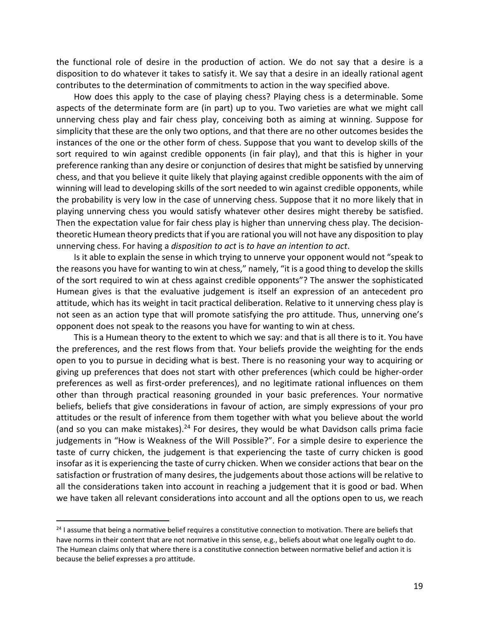the functional role of desire in the production of action. We do not say that a desire is a disposition to do whatever it takes to satisfy it. We say that a desire in an ideally rational agent contributes to the determination of commitments to action in the way specified above.

How does this apply to the case of playing chess? Playing chess is a determinable. Some aspects of the determinate form are (in part) up to you. Two varieties are what we might call unnerving chess play and fair chess play, conceiving both as aiming at winning. Suppose for simplicity that these are the only two options, and that there are no other outcomes besides the instances of the one or the other form of chess. Suppose that you want to develop skills of the sort required to win against credible opponents (in fair play), and that this is higher in your preference ranking than any desire or conjunction of desires that might be satisfied by unnerving chess, and that you believe it quite likely that playing against credible opponents with the aim of winning will lead to developing skills of the sort needed to win against credible opponents, while the probability is very low in the case of unnerving chess. Suppose that it no more likely that in playing unnerving chess you would satisfy whatever other desires might thereby be satisfied. Then the expectation value for fair chess play is higher than unnerving chess play. The decisiontheoretic Humean theory predicts that if you are rational you will not have any disposition to play unnerving chess. For having a *disposition to act* is *to have an intention to act*.

Is it able to explain the sense in which trying to unnerve your opponent would not "speak to the reasons you have for wanting to win at chess," namely, "it is a good thing to develop the skills of the sort required to win at chess against credible opponents"? The answer the sophisticated Humean gives is that the evaluative judgement is itself an expression of an antecedent pro attitude, which has its weight in tacit practical deliberation. Relative to it unnerving chess play is not seen as an action type that will promote satisfying the pro attitude. Thus, unnerving one's opponent does not speak to the reasons you have for wanting to win at chess.

This is a Humean theory to the extent to which we say: and that is all there is to it. You have the preferences, and the rest flows from that. Your beliefs provide the weighting for the ends open to you to pursue in deciding what is best. There is no reasoning your way to acquiring or giving up preferences that does not start with other preferences (which could be higher-order preferences as well as first-order preferences), and no legitimate rational influences on them other than through practical reasoning grounded in your basic preferences. Your normative beliefs, beliefs that give considerations in favour of action, are simply expressions of your pro attitudes or the result of inference from them together with what you believe about the world (and so you can make mistakes).<sup>24</sup> For desires, they would be what Davidson calls prima facie judgements in "How is Weakness of the Will Possible?". For a simple desire to experience the taste of curry chicken, the judgement is that experiencing the taste of curry chicken is good insofar as it is experiencing the taste of curry chicken. When we consider actions that bear on the satisfaction or frustration of many desires, the judgements about those actions will be relative to all the considerations taken into account in reaching a judgement that it is good or bad. When we have taken all relevant considerations into account and all the options open to us, we reach

 $24$  I assume that being a normative belief requires a constitutive connection to motivation. There are beliefs that have norms in their content that are not normative in this sense, e.g., beliefs about what one legally ought to do. The Humean claims only that where there is a constitutive connection between normative belief and action it is because the belief expresses a pro attitude.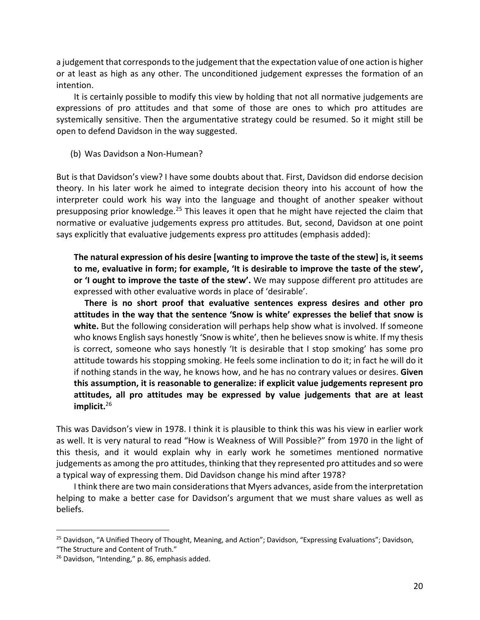a judgement that corresponds to the judgement that the expectation value of one action is higher or at least as high as any other. The unconditioned judgement expresses the formation of an intention.

It is certainly possible to modify this view by holding that not all normative judgements are expressions of pro attitudes and that some of those are ones to which pro attitudes are systemically sensitive. Then the argumentative strategy could be resumed. So it might still be open to defend Davidson in the way suggested.

(b) Was Davidson a Non-Humean?

But is that Davidson's view? I have some doubts about that. First, Davidson did endorse decision theory. In his later work he aimed to integrate decision theory into his account of how the interpreter could work his way into the language and thought of another speaker without presupposing prior knowledge.<sup>25</sup> This leaves it open that he might have rejected the claim that normative or evaluative judgements express pro attitudes. But, second, Davidson at one point says explicitly that evaluative judgements express pro attitudes (emphasis added):

**The natural expression of his desire [wanting to improve the taste of the stew] is, it seems to me, evaluative in form; for example, 'It is desirable to improve the taste of the stew', or 'I ought to improve the taste of the stew'.** We may suppose different pro attitudes are expressed with other evaluative words in place of 'desirable'.

**There is no short proof that evaluative sentences express desires and other pro attitudes in the way that the sentence 'Snow is white' expresses the belief that snow is white.** But the following consideration will perhaps help show what is involved. If someone who knows English says honestly 'Snow is white', then he believes snow is white. If my thesis is correct, someone who says honestly 'It is desirable that I stop smoking' has some pro attitude towards his stopping smoking. He feels some inclination to do it; in fact he will do it if nothing stands in the way, he knows how, and he has no contrary values or desires. **Given this assumption, it is reasonable to generalize: if explicit value judgements represent pro attitudes, all pro attitudes may be expressed by value judgements that are at least implicit.**<sup>26</sup>

This was Davidson's view in 1978. I think it is plausible to think this was his view in earlier work as well. It is very natural to read "How is Weakness of Will Possible?" from 1970 in the light of this thesis, and it would explain why in early work he sometimes mentioned normative judgements as among the pro attitudes, thinking that they represented pro attitudes and so were a typical way of expressing them. Did Davidson change his mind after 1978?

I think there are two main considerations that Myers advances, aside from the interpretation helping to make a better case for Davidson's argument that we must share values as well as beliefs.

<sup>&</sup>lt;sup>25</sup> Davidson, "A Unified Theory of Thought, Meaning, and Action"; Davidson, "Expressing Evaluations"; Davidson, "The Structure and Content of Truth."

 $26$  Davidson, "Intending," p. 86, emphasis added.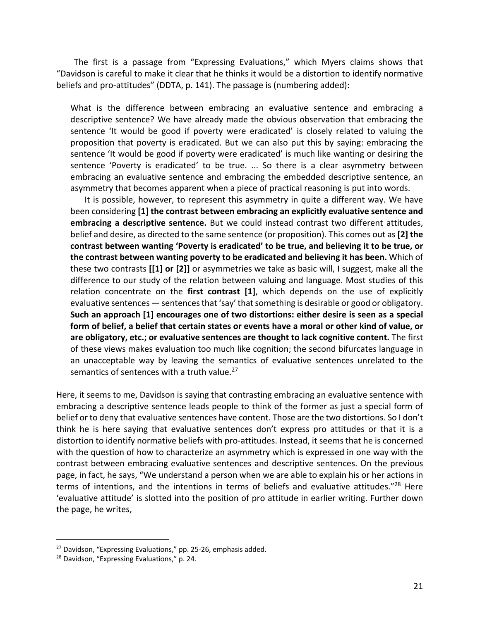The first is a passage from "Expressing Evaluations," which Myers claims shows that "Davidson is careful to make it clear that he thinks it would be a distortion to identify normative beliefs and pro-attitudes" (DDTA, p. 141). The passage is (numbering added):

What is the difference between embracing an evaluative sentence and embracing a descriptive sentence? We have already made the obvious observation that embracing the sentence 'It would be good if poverty were eradicated' is closely related to valuing the proposition that poverty is eradicated. But we can also put this by saying: embracing the sentence 'It would be good if poverty were eradicated' is much like wanting or desiring the sentence 'Poverty is eradicated' to be true. ... So there is a clear asymmetry between embracing an evaluative sentence and embracing the embedded descriptive sentence, an asymmetry that becomes apparent when a piece of practical reasoning is put into words.

It is possible, however, to represent this asymmetry in quite a different way. We have been considering **[1] the contrast between embracing an explicitly evaluative sentence and embracing a descriptive sentence.** But we could instead contrast two different attitudes, belief and desire, as directed to the same sentence (or proposition). This comes out as **[2] the contrast between wanting 'Poverty is eradicated' to be true, and believing it to be true, or the contrast between wanting poverty to be eradicated and believing it has been.** Which of these two contrasts **[[1] or [2]]** or asymmetries we take as basic will, I suggest, make all the difference to our study of the relation between valuing and language. Most studies of this relation concentrate on the **first contrast [1]**, which depends on the use of explicitly evaluative sentences — sentences that 'say' that something is desirable or good or obligatory. **Such an approach [1] encourages one of two distortions: either desire is seen as a special form of belief, a belief that certain states or events have a moral or other kind of value, or are obligatory, etc.; or evaluative sentences are thought to lack cognitive content.** The first of these views makes evaluation too much like cognition; the second bifurcates language in an unacceptable way by leaving the semantics of evaluative sentences unrelated to the semantics of sentences with a truth value. $27$ 

Here, it seems to me, Davidson is saying that contrasting embracing an evaluative sentence with embracing a descriptive sentence leads people to think of the former as just a special form of belief or to deny that evaluative sentences have content. Those are the two distortions. So I don't think he is here saying that evaluative sentences don't express pro attitudes or that it is a distortion to identify normative beliefs with pro-attitudes. Instead, it seems that he is concerned with the question of how to characterize an asymmetry which is expressed in one way with the contrast between embracing evaluative sentences and descriptive sentences. On the previous page, in fact, he says, "We understand a person when we are able to explain his or her actions in terms of intentions, and the intentions in terms of beliefs and evaluative attitudes."28 Here 'evaluative attitude' is slotted into the position of pro attitude in earlier writing. Further down the page, he writes,

 $27$  Davidson, "Expressing Evaluations," pp. 25-26, emphasis added.

<sup>&</sup>lt;sup>28</sup> Davidson, "Expressing Evaluations," p. 24.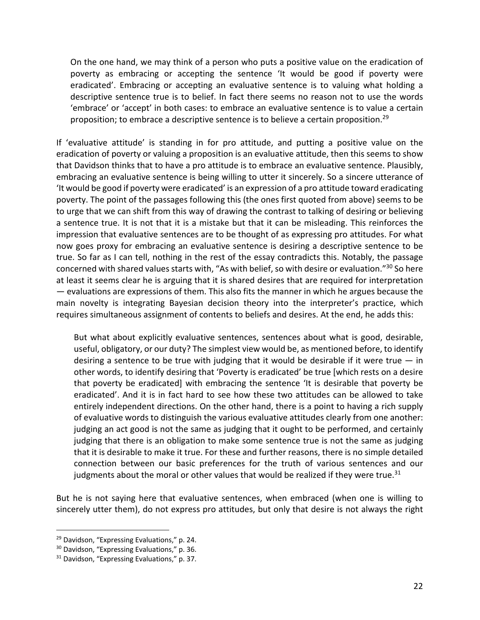On the one hand, we may think of a person who puts a positive value on the eradication of poverty as embracing or accepting the sentence 'It would be good if poverty were eradicated'. Embracing or accepting an evaluative sentence is to valuing what holding a descriptive sentence true is to belief. In fact there seems no reason not to use the words 'embrace' or 'accept' in both cases: to embrace an evaluative sentence is to value a certain proposition; to embrace a descriptive sentence is to believe a certain proposition.<sup>29</sup>

If 'evaluative attitude' is standing in for pro attitude, and putting a positive value on the eradication of poverty or valuing a proposition is an evaluative attitude, then this seems to show that Davidson thinks that to have a pro attitude is to embrace an evaluative sentence. Plausibly, embracing an evaluative sentence is being willing to utter it sincerely. So a sincere utterance of 'It would be good if poverty were eradicated' is an expression of a pro attitude toward eradicating poverty. The point of the passages following this (the ones first quoted from above) seems to be to urge that we can shift from this way of drawing the contrast to talking of desiring or believing a sentence true. It is not that it is a mistake but that it can be misleading. This reinforces the impression that evaluative sentences are to be thought of as expressing pro attitudes. For what now goes proxy for embracing an evaluative sentence is desiring a descriptive sentence to be true. So far as I can tell, nothing in the rest of the essay contradicts this. Notably, the passage concerned with shared values starts with, "As with belief, so with desire or evaluation."30 So here at least it seems clear he is arguing that it is shared desires that are required for interpretation — evaluations are expressions of them. This also fits the manner in which he argues because the main novelty is integrating Bayesian decision theory into the interpreter's practice, which requires simultaneous assignment of contents to beliefs and desires. At the end, he adds this:

But what about explicitly evaluative sentences, sentences about what is good, desirable, useful, obligatory, or our duty? The simplest view would be, as mentioned before, to identify desiring a sentence to be true with judging that it would be desirable if it were true  $-$  in other words, to identify desiring that 'Poverty is eradicated' be true [which rests on a desire that poverty be eradicated] with embracing the sentence 'It is desirable that poverty be eradicated'. And it is in fact hard to see how these two attitudes can be allowed to take entirely independent directions. On the other hand, there is a point to having a rich supply of evaluative words to distinguish the various evaluative attitudes clearly from one another: judging an act good is not the same as judging that it ought to be performed, and certainly judging that there is an obligation to make some sentence true is not the same as judging that it is desirable to make it true. For these and further reasons, there is no simple detailed connection between our basic preferences for the truth of various sentences and our judgments about the moral or other values that would be realized if they were true.<sup>31</sup>

But he is not saying here that evaluative sentences, when embraced (when one is willing to sincerely utter them), do not express pro attitudes, but only that desire is not always the right

<sup>&</sup>lt;sup>29</sup> Davidson, "Expressing Evaluations," p. 24.

<sup>&</sup>lt;sup>30</sup> Davidson, "Expressing Evaluations," p. 36.

<sup>&</sup>lt;sup>31</sup> Davidson, "Expressing Evaluations," p. 37.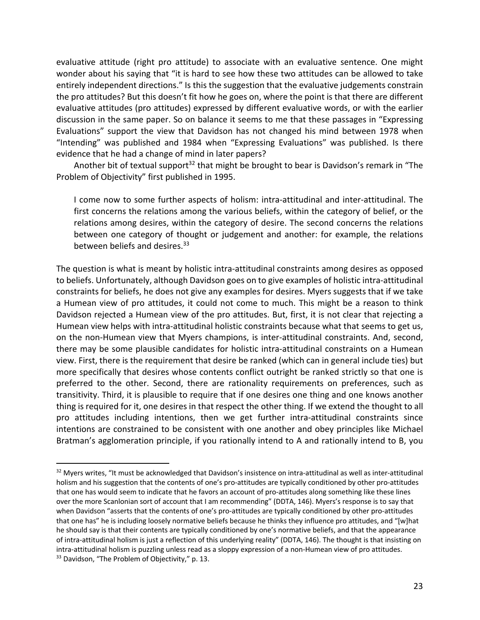evaluative attitude (right pro attitude) to associate with an evaluative sentence. One might wonder about his saying that "it is hard to see how these two attitudes can be allowed to take entirely independent directions." Is this the suggestion that the evaluative judgements constrain the pro attitudes? But this doesn't fit how he goes on, where the point is that there are different evaluative attitudes (pro attitudes) expressed by different evaluative words, or with the earlier discussion in the same paper. So on balance it seems to me that these passages in "Expressing Evaluations" support the view that Davidson has not changed his mind between 1978 when "Intending" was published and 1984 when "Expressing Evaluations" was published. Is there evidence that he had a change of mind in later papers?

Another bit of textual support<sup>32</sup> that might be brought to bear is Davidson's remark in "The Problem of Objectivity" first published in 1995.

I come now to some further aspects of holism: intra-attitudinal and inter-attitudinal. The first concerns the relations among the various beliefs, within the category of belief, or the relations among desires, within the category of desire. The second concerns the relations between one category of thought or judgement and another: for example, the relations between beliefs and desires.<sup>33</sup>

The question is what is meant by holistic intra-attitudinal constraints among desires as opposed to beliefs. Unfortunately, although Davidson goes on to give examples of holistic intra-attitudinal constraints for beliefs, he does not give any examples for desires. Myers suggests that if we take a Humean view of pro attitudes, it could not come to much. This might be a reason to think Davidson rejected a Humean view of the pro attitudes. But, first, it is not clear that rejecting a Humean view helps with intra-attitudinal holistic constraints because what that seems to get us, on the non-Humean view that Myers champions, is inter-attitudinal constraints. And, second, there may be some plausible candidates for holistic intra-attitudinal constraints on a Humean view. First, there is the requirement that desire be ranked (which can in general include ties) but more specifically that desires whose contents conflict outright be ranked strictly so that one is preferred to the other. Second, there are rationality requirements on preferences, such as transitivity. Third, it is plausible to require that if one desires one thing and one knows another thing is required for it, one desires in that respect the other thing. If we extend the thought to all pro attitudes including intentions, then we get further intra-attitudinal constraints since intentions are constrained to be consistent with one another and obey principles like Michael Bratman's agglomeration principle, if you rationally intend to A and rationally intend to B, you

 $32$  Myers writes, "It must be acknowledged that Davidson's insistence on intra-attitudinal as well as inter-attitudinal holism and his suggestion that the contents of one's pro-attitudes are typically conditioned by other pro-attitudes that one has would seem to indicate that he favors an account of pro-attitudes along something like these lines over the more Scanlonian sort of account that I am recommending" (DDTA, 146). Myers's response is to say that when Davidson "asserts that the contents of one's pro-attitudes are typically conditioned by other pro-attitudes that one has" he is including loosely normative beliefs because he thinks they influence pro attitudes, and "[w]hat he should say is that their contents are typically conditioned by one's normative beliefs, and that the appearance of intra-attitudinal holism is just a reflection of this underlying reality" (DDTA, 146). The thought is that insisting on intra-attitudinal holism is puzzling unless read as a sloppy expression of a non-Humean view of pro attitudes.<br><sup>33</sup> Davidson, "The Problem of Objectivity," p. 13.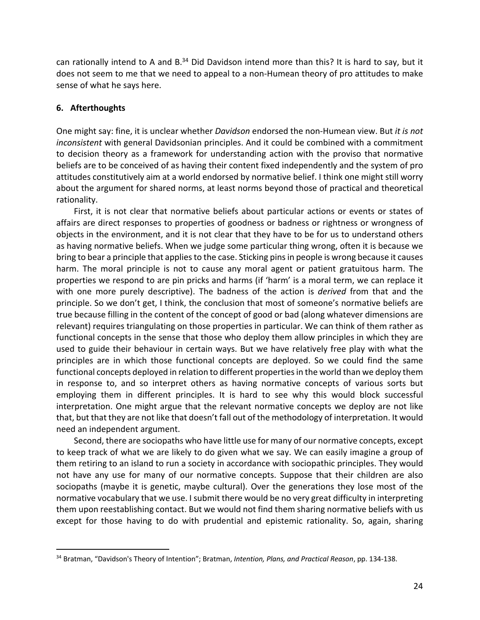can rationally intend to A and B.<sup>34</sup> Did Davidson intend more than this? It is hard to say, but it does not seem to me that we need to appeal to a non-Humean theory of pro attitudes to make sense of what he says here.

## **6. Afterthoughts**

One might say: fine, it is unclear whether *Davidson* endorsed the non-Humean view. But *it is not inconsistent* with general Davidsonian principles. And it could be combined with a commitment to decision theory as a framework for understanding action with the proviso that normative beliefs are to be conceived of as having their content fixed independently and the system of pro attitudes constitutively aim at a world endorsed by normative belief. I think one might still worry about the argument for shared norms, at least norms beyond those of practical and theoretical rationality.

First, it is not clear that normative beliefs about particular actions or events or states of affairs are direct responses to properties of goodness or badness or rightness or wrongness of objects in the environment, and it is not clear that they have to be for us to understand others as having normative beliefs. When we judge some particular thing wrong, often it is because we bring to bear a principle that applies to the case. Sticking pins in people is wrong because it causes harm. The moral principle is not to cause any moral agent or patient gratuitous harm. The properties we respond to are pin pricks and harms (if 'harm' is a moral term, we can replace it with one more purely descriptive). The badness of the action is *derived* from that and the principle. So we don't get, I think, the conclusion that most of someone's normative beliefs are true because filling in the content of the concept of good or bad (along whatever dimensions are relevant) requires triangulating on those properties in particular. We can think of them rather as functional concepts in the sense that those who deploy them allow principles in which they are used to guide their behaviour in certain ways. But we have relatively free play with what the principles are in which those functional concepts are deployed. So we could find the same functional concepts deployed in relation to different properties in the world than we deploy them in response to, and so interpret others as having normative concepts of various sorts but employing them in different principles. It is hard to see why this would block successful interpretation. One might argue that the relevant normative concepts we deploy are not like that, but that they are not like that doesn't fall out of the methodology of interpretation. It would need an independent argument.

Second, there are sociopaths who have little use for many of our normative concepts, except to keep track of what we are likely to do given what we say. We can easily imagine a group of them retiring to an island to run a society in accordance with sociopathic principles. They would not have any use for many of our normative concepts. Suppose that their children are also sociopaths (maybe it is genetic, maybe cultural). Over the generations they lose most of the normative vocabulary that we use. I submit there would be no very great difficulty in interpreting them upon reestablishing contact. But we would not find them sharing normative beliefs with us except for those having to do with prudential and epistemic rationality. So, again, sharing

<sup>34</sup> Bratman, "Davidson's Theory of Intention"; Bratman, *Intention, Plans, and Practical Reason*, pp. 134-138.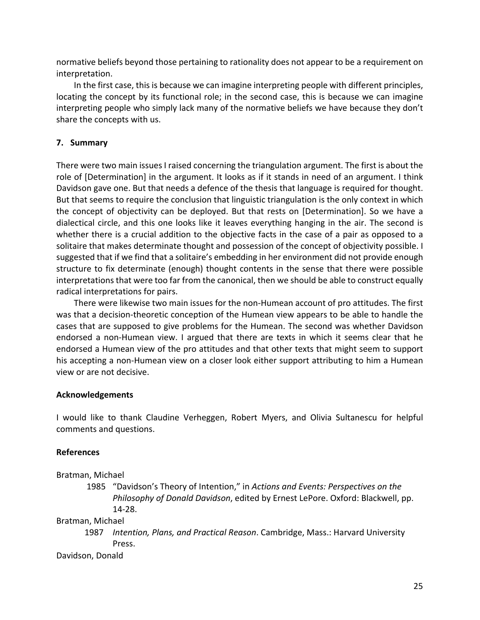normative beliefs beyond those pertaining to rationality does not appear to be a requirement on interpretation.

In the first case, this is because we can imagine interpreting people with different principles, locating the concept by its functional role; in the second case, this is because we can imagine interpreting people who simply lack many of the normative beliefs we have because they don't share the concepts with us.

# **7. Summary**

There were two main issues I raised concerning the triangulation argument. The first is about the role of [Determination] in the argument. It looks as if it stands in need of an argument. I think Davidson gave one. But that needs a defence of the thesis that language is required for thought. But that seems to require the conclusion that linguistic triangulation is the only context in which the concept of objectivity can be deployed. But that rests on [Determination]. So we have a dialectical circle, and this one looks like it leaves everything hanging in the air. The second is whether there is a crucial addition to the objective facts in the case of a pair as opposed to a solitaire that makes determinate thought and possession of the concept of objectivity possible. I suggested that if we find that a solitaire's embedding in her environment did not provide enough structure to fix determinate (enough) thought contents in the sense that there were possible interpretations that were too far from the canonical, then we should be able to construct equally radical interpretations for pairs.

There were likewise two main issues for the non-Humean account of pro attitudes. The first was that a decision-theoretic conception of the Humean view appears to be able to handle the cases that are supposed to give problems for the Humean. The second was whether Davidson endorsed a non-Humean view. I argued that there are texts in which it seems clear that he endorsed a Humean view of the pro attitudes and that other texts that might seem to support his accepting a non-Humean view on a closer look either support attributing to him a Humean view or are not decisive.

## **Acknowledgements**

I would like to thank Claudine Verheggen, Robert Myers, and Olivia Sultanescu for helpful comments and questions.

# **References**

## Bratman, Michael

1985 "Davidson's Theory of Intention," in *Actions and Events: Perspectives on the Philosophy of Donald Davidson*, edited by Ernest LePore. Oxford: Blackwell, pp. 14-28.

#### Bratman, Michael

1987 *Intention, Plans, and Practical Reason*. Cambridge, Mass.: Harvard University Press.

## Davidson, Donald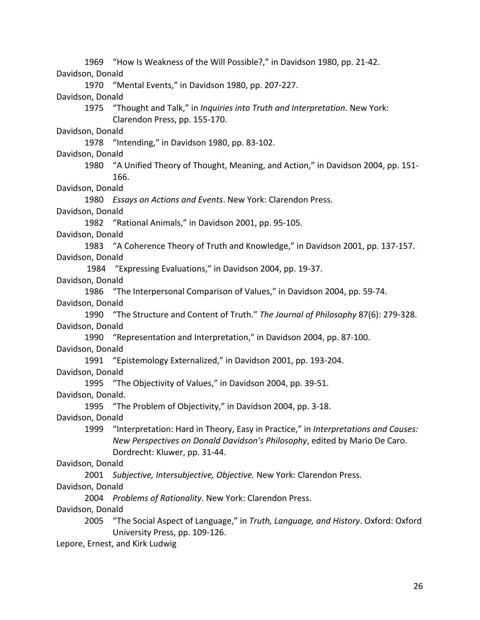1969 "How Is Weakness of the Will Possible?," in Davidson 1980, pp. 21-42. Davidson, Donald 1970 "Mental Events," in Davidson 1980, pp. 207-227. Davidson, Donald 1975 "Thought and Talk," in *Inquiries into Truth and Interpretation*. New York: Clarendon Press, pp. 155-170. Davidson, Donald 1978 "Intending," in Davidson 1980, pp. 83-102. Davidson, Donald 1980 "A Unified Theory of Thought, Meaning, and Action," in Davidson 2004, pp. 151- 166. Davidson, Donald 1980 *Essays on Actions and Events*. New York: Clarendon Press. Davidson, Donald 1982 "Rational Animals," in Davidson 2001, pp. 95-105. Davidson, Donald 1983 "A Coherence Theory of Truth and Knowledge," in Davidson 2001, pp. 137-157. Davidson, Donald 1984 "Expressing Evaluations," in Davidson 2004, pp. 19-37. Davidson, Donald 1986 "The Interpersonal Comparison of Values," in Davidson 2004, pp. 59-74. Davidson, Donald 1990 "The Structure and Content of Truth." *The Journal of Philosophy* 87(6): 279-328. Davidson, Donald 1990 "Representation and Interpretation," in Davidson 2004, pp. 87-100. Davidson, Donald 1991 "Epistemology Externalized," in Davidson 2001, pp. 193-204. Davidson, Donald 1995 "The Objectivity of Values," in Davidson 2004, pp. 39-51. Davidson, Donald. 1995 "The Problem of Objectivity," in Davidson 2004, pp. 3-18. Davidson, Donald 1999 "Interpretation: Hard in Theory, Easy in Practice," in *Interpretations and Causes: New Perspectives on Donald Davidson's Philosophy*, edited by Mario De Caro. Dordrecht: Kluwer, pp. 31-44. Davidson, Donald 2001 *Subjective, Intersubjective, Objective.* New York: Clarendon Press. Davidson, Donald 2004 *Problems of Rationality*. New York: Clarendon Press. Davidson, Donald 2005 "The Social Aspect of Language," in *Truth, Language, and History*. Oxford: Oxford University Press, pp. 109-126. Lepore, Ernest, and Kirk Ludwig